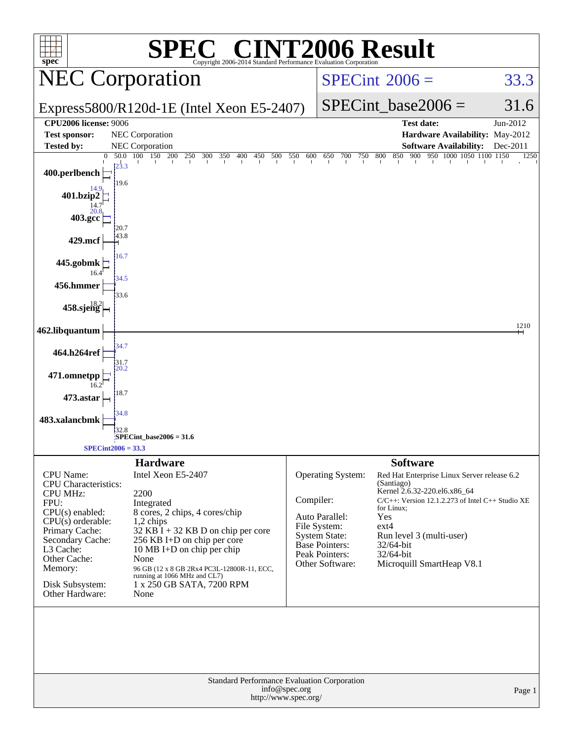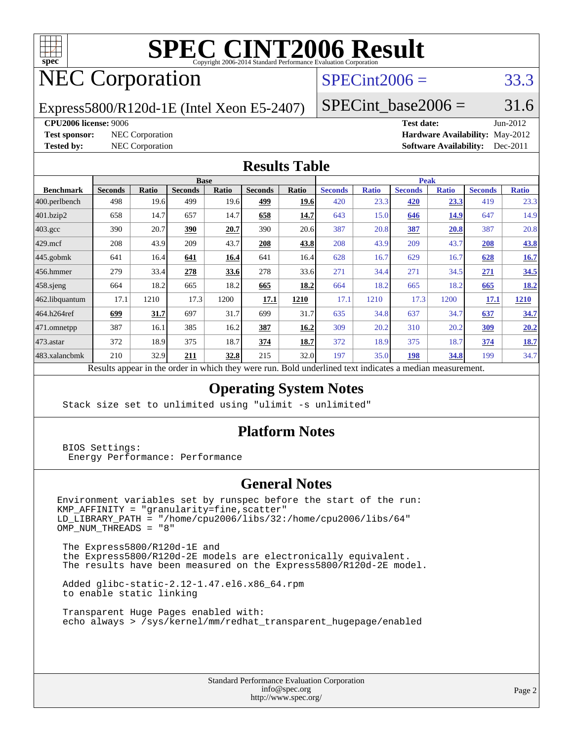

# **[SPEC CINT2006 Result](http://www.spec.org/auto/cpu2006/Docs/result-fields.html#SPECCINT2006Result)**

# NEC Corporation

# $SPECint2006 = 33.3$  $SPECint2006 = 33.3$

Express5800/R120d-1E (Intel Xeon E5-2407)

SPECint base2006 =  $31.6$ 

#### **[CPU2006 license:](http://www.spec.org/auto/cpu2006/Docs/result-fields.html#CPU2006license)** 9006 **[Test date:](http://www.spec.org/auto/cpu2006/Docs/result-fields.html#Testdate)** Jun-2012

**[Test sponsor:](http://www.spec.org/auto/cpu2006/Docs/result-fields.html#Testsponsor)** NEC Corporation **[Hardware Availability:](http://www.spec.org/auto/cpu2006/Docs/result-fields.html#HardwareAvailability)** May-2012 **[Tested by:](http://www.spec.org/auto/cpu2006/Docs/result-fields.html#Testedby)** NEC Corporation **[Software Availability:](http://www.spec.org/auto/cpu2006/Docs/result-fields.html#SoftwareAvailability)** Dec-2011

### **[Results Table](http://www.spec.org/auto/cpu2006/Docs/result-fields.html#ResultsTable)**

|                   | <b>Base</b>                                       |              |                |       |                |       | <b>Peak</b>                                                |              |                |              |                |              |
|-------------------|---------------------------------------------------|--------------|----------------|-------|----------------|-------|------------------------------------------------------------|--------------|----------------|--------------|----------------|--------------|
| <b>Benchmark</b>  | <b>Seconds</b>                                    | <b>Ratio</b> | <b>Seconds</b> | Ratio | <b>Seconds</b> | Ratio | <b>Seconds</b>                                             | <b>Ratio</b> | <b>Seconds</b> | <b>Ratio</b> | <b>Seconds</b> | <b>Ratio</b> |
| $ 400$ .perlbench | 498                                               | 19.6         | 499            | 19.6  | 499            | 19.6  | 420                                                        | 23.3         | 420            | 23.3         | 419            | 23.3         |
| 401.bzip2         | 658                                               | 14.7         | 657            | 14.7  | 658            | 14.7  | 643                                                        | 15.0         | 646            | 14.9         | 647            | 14.9         |
| $403.\text{gcc}$  | 390                                               | 20.7         | <u>390</u>     | 20.7  | 390            | 20.6  | 387                                                        | 20.8         | <b>387</b>     | <u>20.8</u>  | 387            | 20.8         |
| $429$ .mcf        | 208                                               | 43.9         | 209            | 43.7  | 208            | 43.8  | 208                                                        | 43.9         | 209            | 43.7         | 208            | 43.8         |
| $445$ .gobmk      | 641                                               | 16.4         | 641            | 16.4  | 641            | 16.4  | 628                                                        | 16.7         | 629            | 16.7         | 628            | 16.7         |
| 456.hmmer         | 279                                               | 33.4         | 278            | 33.6  | 278            | 33.6  | 271                                                        | 34.4         | 271            | 34.5         | 271            | 34.5         |
| $458$ .sjeng      | 664                                               | 18.2         | 665            | 18.2  | 665            | 18.2  | 664                                                        | 18.2         | 665            | 18.2         | 665            | 18.2         |
| 462.libquantum    | 17.1                                              | 1210         | 17.3           | 1200  | 17.1           | 1210  | 17.1                                                       | 1210         | 17.3           | 1200         | 17.1           | 1210         |
| 464.h264ref       | 699                                               | 31.7         | 697            | 31.7  | 699            | 31.7  | 635                                                        | 34.8         | 637            | 34.7         | 637            | 34.7         |
| 471.omnetpp       | 387                                               | 16.1         | 385            | 16.2  | 387            | 16.2  | 309                                                        | 20.2         | 310            | 20.2         | 309            | 20.2         |
| $473$ . astar     | 372                                               | 18.9         | 375            | 18.7  | 374            | 18.7  | 372                                                        | 18.9         | 375            | 18.7         | 374            | <b>18.7</b>  |
| 483.xalancbmk     | 210                                               | 32.9         | 211            | 32.8  | 215            | 32.0  | 197                                                        | 35.0         | 198            | 34.8         | 199            | 34.7         |
|                   | Decute ennear in the order in which thay were min |              |                |       |                |       | <b>Dold</b> underlined text indicates a modian measurement |              |                |              |                |              |

Results appear in the [order in which they were run.](http://www.spec.org/auto/cpu2006/Docs/result-fields.html#RunOrder) Bold underlined text [indicates a median measurement.](http://www.spec.org/auto/cpu2006/Docs/result-fields.html#Median)

## **[Operating System Notes](http://www.spec.org/auto/cpu2006/Docs/result-fields.html#OperatingSystemNotes)**

Stack size set to unlimited using "ulimit -s unlimited"

### **[Platform Notes](http://www.spec.org/auto/cpu2006/Docs/result-fields.html#PlatformNotes)**

 BIOS Settings: Energy Performance: Performance

### **[General Notes](http://www.spec.org/auto/cpu2006/Docs/result-fields.html#GeneralNotes)**

Environment variables set by runspec before the start of the run: KMP\_AFFINITY = "granularity=fine,scatter" LD\_LIBRARY\_PATH = "/home/cpu2006/libs/32:/home/cpu2006/libs/64"  $OMP$  NUM THREADS = "8"

 The Express5800/R120d-1E and the Express5800/R120d-2E models are electronically equivalent. The results have been measured on the Express5800/R120d-2E model.

 Added glibc-static-2.12-1.47.el6.x86\_64.rpm to enable static linking

 Transparent Huge Pages enabled with: echo always > /sys/kernel/mm/redhat\_transparent\_hugepage/enabled

> Standard Performance Evaluation Corporation [info@spec.org](mailto:info@spec.org) <http://www.spec.org/>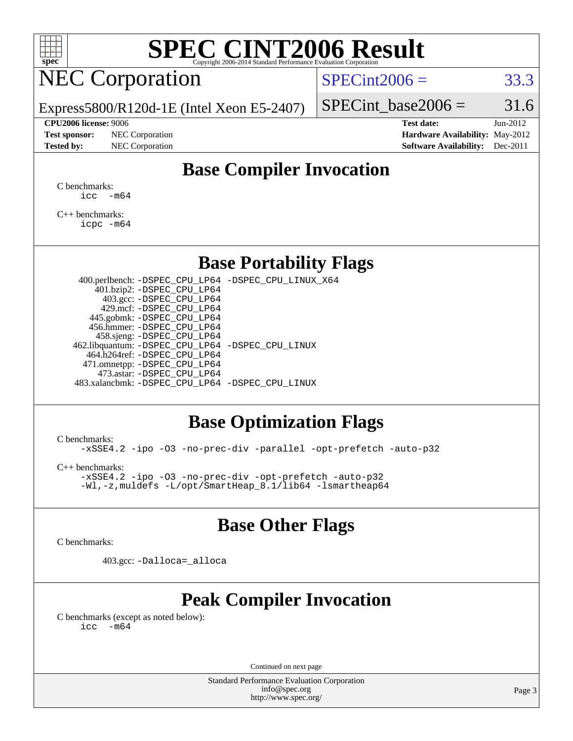

# **[SPEC CINT2006 Result](http://www.spec.org/auto/cpu2006/Docs/result-fields.html#SPECCINT2006Result)**

# NEC Corporation

 $SPECint2006 = 33.3$  $SPECint2006 = 33.3$ 

Express5800/R120d-1E (Intel Xeon E5-2407)

#### **[CPU2006 license:](http://www.spec.org/auto/cpu2006/Docs/result-fields.html#CPU2006license)** 9006 **[Test date:](http://www.spec.org/auto/cpu2006/Docs/result-fields.html#Testdate)** Jun-2012

**[Test sponsor:](http://www.spec.org/auto/cpu2006/Docs/result-fields.html#Testsponsor)** NEC Corporation **[Hardware Availability:](http://www.spec.org/auto/cpu2006/Docs/result-fields.html#HardwareAvailability)** May-2012

SPECint base2006 =  $31.6$ 

**[Tested by:](http://www.spec.org/auto/cpu2006/Docs/result-fields.html#Testedby)** NEC Corporation **[Software Availability:](http://www.spec.org/auto/cpu2006/Docs/result-fields.html#SoftwareAvailability)** Dec-2011

# **[Base Compiler Invocation](http://www.spec.org/auto/cpu2006/Docs/result-fields.html#BaseCompilerInvocation)**

[C benchmarks](http://www.spec.org/auto/cpu2006/Docs/result-fields.html#Cbenchmarks):  $\text{icc}$   $-\text{m64}$ 

[C++ benchmarks:](http://www.spec.org/auto/cpu2006/Docs/result-fields.html#CXXbenchmarks) [icpc -m64](http://www.spec.org/cpu2006/results/res2012q3/cpu2006-20120617-22920.flags.html#user_CXXbase_intel_icpc_64bit_fc66a5337ce925472a5c54ad6a0de310)

## **[Base Portability Flags](http://www.spec.org/auto/cpu2006/Docs/result-fields.html#BasePortabilityFlags)**

 400.perlbench: [-DSPEC\\_CPU\\_LP64](http://www.spec.org/cpu2006/results/res2012q3/cpu2006-20120617-22920.flags.html#b400.perlbench_basePORTABILITY_DSPEC_CPU_LP64) [-DSPEC\\_CPU\\_LINUX\\_X64](http://www.spec.org/cpu2006/results/res2012q3/cpu2006-20120617-22920.flags.html#b400.perlbench_baseCPORTABILITY_DSPEC_CPU_LINUX_X64) 401.bzip2: [-DSPEC\\_CPU\\_LP64](http://www.spec.org/cpu2006/results/res2012q3/cpu2006-20120617-22920.flags.html#suite_basePORTABILITY401_bzip2_DSPEC_CPU_LP64) 403.gcc: [-DSPEC\\_CPU\\_LP64](http://www.spec.org/cpu2006/results/res2012q3/cpu2006-20120617-22920.flags.html#suite_basePORTABILITY403_gcc_DSPEC_CPU_LP64) 429.mcf: [-DSPEC\\_CPU\\_LP64](http://www.spec.org/cpu2006/results/res2012q3/cpu2006-20120617-22920.flags.html#suite_basePORTABILITY429_mcf_DSPEC_CPU_LP64) 445.gobmk: [-DSPEC\\_CPU\\_LP64](http://www.spec.org/cpu2006/results/res2012q3/cpu2006-20120617-22920.flags.html#suite_basePORTABILITY445_gobmk_DSPEC_CPU_LP64) 456.hmmer: [-DSPEC\\_CPU\\_LP64](http://www.spec.org/cpu2006/results/res2012q3/cpu2006-20120617-22920.flags.html#suite_basePORTABILITY456_hmmer_DSPEC_CPU_LP64) 458.sjeng: [-DSPEC\\_CPU\\_LP64](http://www.spec.org/cpu2006/results/res2012q3/cpu2006-20120617-22920.flags.html#suite_basePORTABILITY458_sjeng_DSPEC_CPU_LP64) 462.libquantum: [-DSPEC\\_CPU\\_LP64](http://www.spec.org/cpu2006/results/res2012q3/cpu2006-20120617-22920.flags.html#suite_basePORTABILITY462_libquantum_DSPEC_CPU_LP64) [-DSPEC\\_CPU\\_LINUX](http://www.spec.org/cpu2006/results/res2012q3/cpu2006-20120617-22920.flags.html#b462.libquantum_baseCPORTABILITY_DSPEC_CPU_LINUX) 464.h264ref: [-DSPEC\\_CPU\\_LP64](http://www.spec.org/cpu2006/results/res2012q3/cpu2006-20120617-22920.flags.html#suite_basePORTABILITY464_h264ref_DSPEC_CPU_LP64) 471.omnetpp: [-DSPEC\\_CPU\\_LP64](http://www.spec.org/cpu2006/results/res2012q3/cpu2006-20120617-22920.flags.html#suite_basePORTABILITY471_omnetpp_DSPEC_CPU_LP64) 473.astar: [-DSPEC\\_CPU\\_LP64](http://www.spec.org/cpu2006/results/res2012q3/cpu2006-20120617-22920.flags.html#suite_basePORTABILITY473_astar_DSPEC_CPU_LP64) 483.xalancbmk: [-DSPEC\\_CPU\\_LP64](http://www.spec.org/cpu2006/results/res2012q3/cpu2006-20120617-22920.flags.html#suite_basePORTABILITY483_xalancbmk_DSPEC_CPU_LP64) [-DSPEC\\_CPU\\_LINUX](http://www.spec.org/cpu2006/results/res2012q3/cpu2006-20120617-22920.flags.html#b483.xalancbmk_baseCXXPORTABILITY_DSPEC_CPU_LINUX)

# **[Base Optimization Flags](http://www.spec.org/auto/cpu2006/Docs/result-fields.html#BaseOptimizationFlags)**

[C benchmarks](http://www.spec.org/auto/cpu2006/Docs/result-fields.html#Cbenchmarks):

[-xSSE4.2](http://www.spec.org/cpu2006/results/res2012q3/cpu2006-20120617-22920.flags.html#user_CCbase_f-xSSE42_f91528193cf0b216347adb8b939d4107) [-ipo](http://www.spec.org/cpu2006/results/res2012q3/cpu2006-20120617-22920.flags.html#user_CCbase_f-ipo) [-O3](http://www.spec.org/cpu2006/results/res2012q3/cpu2006-20120617-22920.flags.html#user_CCbase_f-O3) [-no-prec-div](http://www.spec.org/cpu2006/results/res2012q3/cpu2006-20120617-22920.flags.html#user_CCbase_f-no-prec-div) [-parallel](http://www.spec.org/cpu2006/results/res2012q3/cpu2006-20120617-22920.flags.html#user_CCbase_f-parallel) [-opt-prefetch](http://www.spec.org/cpu2006/results/res2012q3/cpu2006-20120617-22920.flags.html#user_CCbase_f-opt-prefetch) [-auto-p32](http://www.spec.org/cpu2006/results/res2012q3/cpu2006-20120617-22920.flags.html#user_CCbase_f-auto-p32)

[C++ benchmarks:](http://www.spec.org/auto/cpu2006/Docs/result-fields.html#CXXbenchmarks)

[-xSSE4.2](http://www.spec.org/cpu2006/results/res2012q3/cpu2006-20120617-22920.flags.html#user_CXXbase_f-xSSE42_f91528193cf0b216347adb8b939d4107) [-ipo](http://www.spec.org/cpu2006/results/res2012q3/cpu2006-20120617-22920.flags.html#user_CXXbase_f-ipo) [-O3](http://www.spec.org/cpu2006/results/res2012q3/cpu2006-20120617-22920.flags.html#user_CXXbase_f-O3) [-no-prec-div](http://www.spec.org/cpu2006/results/res2012q3/cpu2006-20120617-22920.flags.html#user_CXXbase_f-no-prec-div) [-opt-prefetch](http://www.spec.org/cpu2006/results/res2012q3/cpu2006-20120617-22920.flags.html#user_CXXbase_f-opt-prefetch) [-auto-p32](http://www.spec.org/cpu2006/results/res2012q3/cpu2006-20120617-22920.flags.html#user_CXXbase_f-auto-p32) [-Wl,-z,muldefs](http://www.spec.org/cpu2006/results/res2012q3/cpu2006-20120617-22920.flags.html#user_CXXbase_link_force_multiple1_74079c344b956b9658436fd1b6dd3a8a) [-L/opt/SmartHeap\\_8.1/lib64 -lsmartheap64](http://www.spec.org/cpu2006/results/res2012q3/cpu2006-20120617-22920.flags.html#user_CXXbase_SmartHeap64_7ff9c3d8ca51c2767359d6aa2f519d77)

# **[Base Other Flags](http://www.spec.org/auto/cpu2006/Docs/result-fields.html#BaseOtherFlags)**

[C benchmarks](http://www.spec.org/auto/cpu2006/Docs/result-fields.html#Cbenchmarks):

403.gcc: [-Dalloca=\\_alloca](http://www.spec.org/cpu2006/results/res2012q3/cpu2006-20120617-22920.flags.html#b403.gcc_baseEXTRA_CFLAGS_Dalloca_be3056838c12de2578596ca5467af7f3)

# **[Peak Compiler Invocation](http://www.spec.org/auto/cpu2006/Docs/result-fields.html#PeakCompilerInvocation)**

[C benchmarks \(except as noted below\)](http://www.spec.org/auto/cpu2006/Docs/result-fields.html#Cbenchmarksexceptasnotedbelow):  $\text{icc}$  -m64

Continued on next page

Standard Performance Evaluation Corporation [info@spec.org](mailto:info@spec.org) <http://www.spec.org/>

Page 3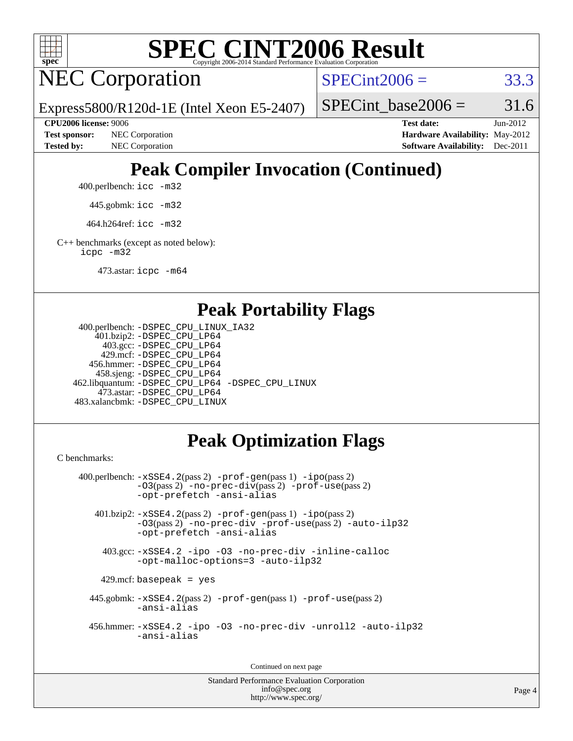

# **[SPEC CINT2006 Result](http://www.spec.org/auto/cpu2006/Docs/result-fields.html#SPECCINT2006Result)**

NEC Corporation

 $SPECint2006 = 33.3$  $SPECint2006 = 33.3$ 

Express5800/R120d-1E (Intel Xeon E5-2407)

SPECint base2006 =  $31.6$ 

**[CPU2006 license:](http://www.spec.org/auto/cpu2006/Docs/result-fields.html#CPU2006license)** 9006 **[Test date:](http://www.spec.org/auto/cpu2006/Docs/result-fields.html#Testdate)** Jun-2012 **[Test sponsor:](http://www.spec.org/auto/cpu2006/Docs/result-fields.html#Testsponsor)** NEC Corporation **[Hardware Availability:](http://www.spec.org/auto/cpu2006/Docs/result-fields.html#HardwareAvailability)** May-2012 **[Tested by:](http://www.spec.org/auto/cpu2006/Docs/result-fields.html#Testedby)** NEC Corporation **[Software Availability:](http://www.spec.org/auto/cpu2006/Docs/result-fields.html#SoftwareAvailability)** Dec-2011

# **[Peak Compiler Invocation \(Continued\)](http://www.spec.org/auto/cpu2006/Docs/result-fields.html#PeakCompilerInvocation)**

400.perlbench: [icc -m32](http://www.spec.org/cpu2006/results/res2012q3/cpu2006-20120617-22920.flags.html#user_peakCCLD400_perlbench_intel_icc_a6a621f8d50482236b970c6ac5f55f93)

445.gobmk: [icc -m32](http://www.spec.org/cpu2006/results/res2012q3/cpu2006-20120617-22920.flags.html#user_peakCCLD445_gobmk_intel_icc_a6a621f8d50482236b970c6ac5f55f93)

464.h264ref: [icc -m32](http://www.spec.org/cpu2006/results/res2012q3/cpu2006-20120617-22920.flags.html#user_peakCCLD464_h264ref_intel_icc_a6a621f8d50482236b970c6ac5f55f93)

[C++ benchmarks \(except as noted below\):](http://www.spec.org/auto/cpu2006/Docs/result-fields.html#CXXbenchmarksexceptasnotedbelow) [icpc -m32](http://www.spec.org/cpu2006/results/res2012q3/cpu2006-20120617-22920.flags.html#user_CXXpeak_intel_icpc_4e5a5ef1a53fd332b3c49e69c3330699)

473.astar: [icpc -m64](http://www.spec.org/cpu2006/results/res2012q3/cpu2006-20120617-22920.flags.html#user_peakCXXLD473_astar_intel_icpc_64bit_fc66a5337ce925472a5c54ad6a0de310)

## **[Peak Portability Flags](http://www.spec.org/auto/cpu2006/Docs/result-fields.html#PeakPortabilityFlags)**

```
 400.perlbench: -DSPEC_CPU_LINUX_IA32
    401.bzip2: -DSPEC_CPU_LP64
      403.gcc: -DSPEC_CPU_LP64
     429.mcf: -DSPEC_CPU_LP64
   456.hmmer: -DSPEC_CPU_LP64
    458.sjeng: -DSPEC_CPU_LP64
462.libquantum: -DSPEC_CPU_LP64 -DSPEC_CPU_LINUX
     473.astar: -DSPEC_CPU_LP64
483.xalancbmk: -DSPEC_CPU_LINUX
```
# **[Peak Optimization Flags](http://www.spec.org/auto/cpu2006/Docs/result-fields.html#PeakOptimizationFlags)**

[C benchmarks](http://www.spec.org/auto/cpu2006/Docs/result-fields.html#Cbenchmarks):

```
 400.perlbench: -xSSE4.2(pass 2) -prof-gen(pass 1) -ipo(pass 2)
           -O3(pass 2) -no-prec-div(pass 2) -prof-use(pass 2)
          -opt-prefetch -ansi-alias
   401.bzip2: -xSSE4.2(pass 2) -prof-gen(pass 1) -ipo(pass 2)
           -O3(pass 2) -no-prec-div -prof-use(pass 2) -auto-ilp32
           -opt-prefetch -ansi-alias
    403.gcc: -xSSE4.2 -ipo -O3 -no-prec-div -inline-calloc
           -opt-malloc-options=3 -auto-ilp32
   429.mcf: basepeak = yes
  445.gobmk: -xSSE4.2(pass 2) -prof-gen(pass 1) -prof-use(pass 2)
           -ansi-alias
  456.hmmer: -xSSE4.2 -ipo -O3 -no-prec-div -unroll2 -auto-ilp32
           -ansi-alias
```
Continued on next page

Standard Performance Evaluation Corporation [info@spec.org](mailto:info@spec.org) <http://www.spec.org/>